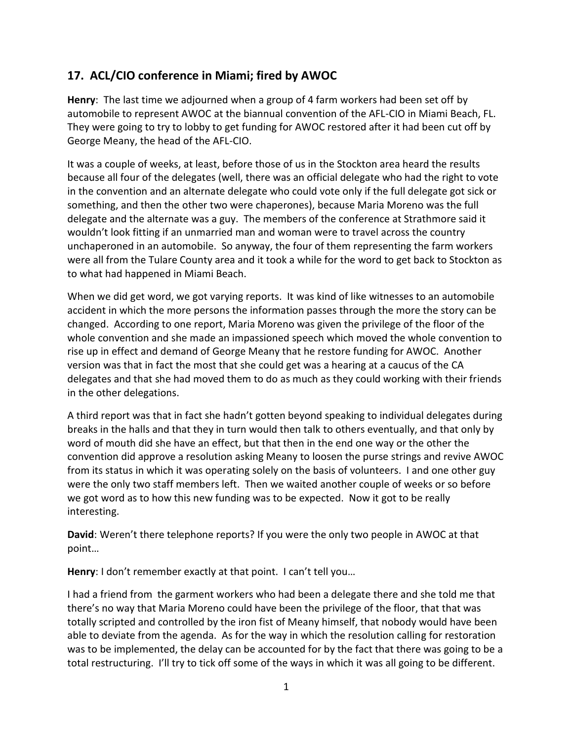## **17. ACL/CIO conference in Miami; fired by AWOC**

**Henry**: The last time we adjourned when a group of 4 farm workers had been set off by automobile to represent AWOC at the biannual convention of the AFL-CIO in Miami Beach, FL. They were going to try to lobby to get funding for AWOC restored after it had been cut off by George Meany, the head of the AFL-CIO.

It was a couple of weeks, at least, before those of us in the Stockton area heard the results because all four of the delegates (well, there was an official delegate who had the right to vote in the convention and an alternate delegate who could vote only if the full delegate got sick or something, and then the other two were chaperones), because Maria Moreno was the full delegate and the alternate was a guy. The members of the conference at Strathmore said it wouldn't look fitting if an unmarried man and woman were to travel across the country unchaperoned in an automobile. So anyway, the four of them representing the farm workers were all from the Tulare County area and it took a while for the word to get back to Stockton as to what had happened in Miami Beach.

When we did get word, we got varying reports. It was kind of like witnesses to an automobile accident in which the more persons the information passes through the more the story can be changed. According to one report, Maria Moreno was given the privilege of the floor of the whole convention and she made an impassioned speech which moved the whole convention to rise up in effect and demand of George Meany that he restore funding for AWOC. Another version was that in fact the most that she could get was a hearing at a caucus of the CA delegates and that she had moved them to do as much as they could working with their friends in the other delegations.

A third report was that in fact she hadn't gotten beyond speaking to individual delegates during breaks in the halls and that they in turn would then talk to others eventually, and that only by word of mouth did she have an effect, but that then in the end one way or the other the convention did approve a resolution asking Meany to loosen the purse strings and revive AWOC from its status in which it was operating solely on the basis of volunteers. I and one other guy were the only two staff members left. Then we waited another couple of weeks or so before we got word as to how this new funding was to be expected. Now it got to be really interesting.

**David**: Weren't there telephone reports? If you were the only two people in AWOC at that point…

**Henry**: I don't remember exactly at that point. I can't tell you…

I had a friend from the garment workers who had been a delegate there and she told me that there's no way that Maria Moreno could have been the privilege of the floor, that that was totally scripted and controlled by the iron fist of Meany himself, that nobody would have been able to deviate from the agenda. As for the way in which the resolution calling for restoration was to be implemented, the delay can be accounted for by the fact that there was going to be a total restructuring. I'll try to tick off some of the ways in which it was all going to be different.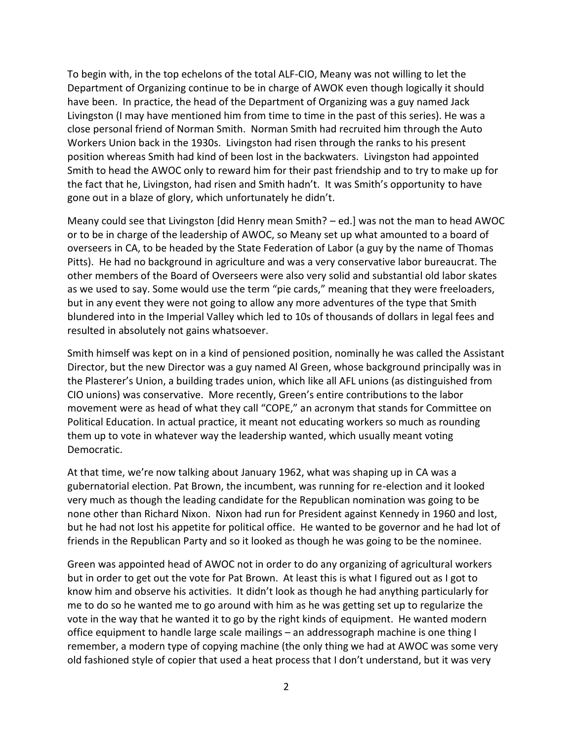To begin with, in the top echelons of the total ALF-CIO, Meany was not willing to let the Department of Organizing continue to be in charge of AWOK even though logically it should have been. In practice, the head of the Department of Organizing was a guy named Jack Livingston (I may have mentioned him from time to time in the past of this series). He was a close personal friend of Norman Smith. Norman Smith had recruited him through the Auto Workers Union back in the 1930s. Livingston had risen through the ranks to his present position whereas Smith had kind of been lost in the backwaters. Livingston had appointed Smith to head the AWOC only to reward him for their past friendship and to try to make up for the fact that he, Livingston, had risen and Smith hadn't. It was Smith's opportunity to have gone out in a blaze of glory, which unfortunately he didn't.

Meany could see that Livingston [did Henry mean Smith? – ed.] was not the man to head AWOC or to be in charge of the leadership of AWOC, so Meany set up what amounted to a board of overseers in CA, to be headed by the State Federation of Labor (a guy by the name of Thomas Pitts). He had no background in agriculture and was a very conservative labor bureaucrat. The other members of the Board of Overseers were also very solid and substantial old labor skates as we used to say. Some would use the term "pie cards," meaning that they were freeloaders, but in any event they were not going to allow any more adventures of the type that Smith blundered into in the Imperial Valley which led to 10s of thousands of dollars in legal fees and resulted in absolutely not gains whatsoever.

Smith himself was kept on in a kind of pensioned position, nominally he was called the Assistant Director, but the new Director was a guy named Al Green, whose background principally was in the Plasterer's Union, a building trades union, which like all AFL unions (as distinguished from CIO unions) was conservative. More recently, Green's entire contributions to the labor movement were as head of what they call "COPE," an acronym that stands for Committee on Political Education. In actual practice, it meant not educating workers so much as rounding them up to vote in whatever way the leadership wanted, which usually meant voting Democratic.

At that time, we're now talking about January 1962, what was shaping up in CA was a gubernatorial election. Pat Brown, the incumbent, was running for re-election and it looked very much as though the leading candidate for the Republican nomination was going to be none other than Richard Nixon. Nixon had run for President against Kennedy in 1960 and lost, but he had not lost his appetite for political office. He wanted to be governor and he had lot of friends in the Republican Party and so it looked as though he was going to be the nominee.

Green was appointed head of AWOC not in order to do any organizing of agricultural workers but in order to get out the vote for Pat Brown. At least this is what I figured out as I got to know him and observe his activities. It didn't look as though he had anything particularly for me to do so he wanted me to go around with him as he was getting set up to regularize the vote in the way that he wanted it to go by the right kinds of equipment. He wanted modern office equipment to handle large scale mailings – an addressograph machine is one thing I remember, a modern type of copying machine (the only thing we had at AWOC was some very old fashioned style of copier that used a heat process that I don't understand, but it was very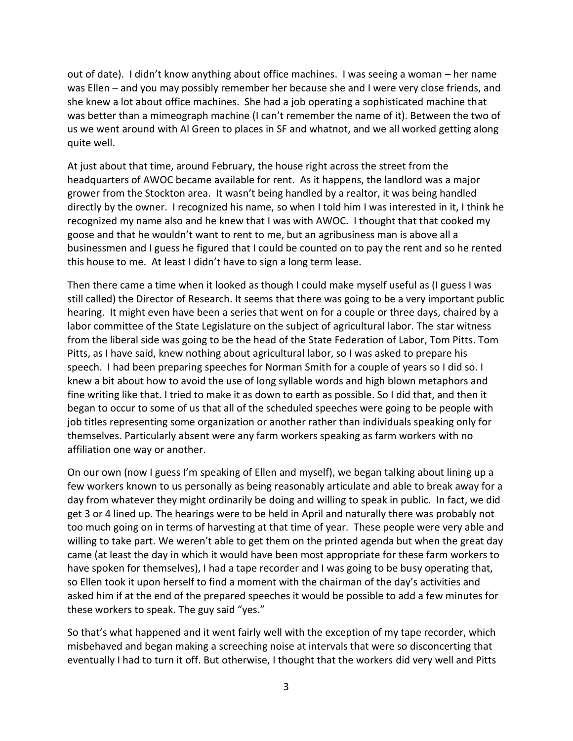out of date). I didn't know anything about office machines. I was seeing a woman – her name was Ellen – and you may possibly remember her because she and I were very close friends, and she knew a lot about office machines. She had a job operating a sophisticated machine that was better than a mimeograph machine (I can't remember the name of it). Between the two of us we went around with Al Green to places in SF and whatnot, and we all worked getting along quite well.

At just about that time, around February, the house right across the street from the headquarters of AWOC became available for rent. As it happens, the landlord was a major grower from the Stockton area. It wasn't being handled by a realtor, it was being handled directly by the owner. I recognized his name, so when I told him I was interested in it, I think he recognized my name also and he knew that I was with AWOC. I thought that that cooked my goose and that he wouldn't want to rent to me, but an agribusiness man is above all a businessmen and I guess he figured that I could be counted on to pay the rent and so he rented this house to me. At least I didn't have to sign a long term lease.

Then there came a time when it looked as though I could make myself useful as (I guess I was still called) the Director of Research. It seems that there was going to be a very important public hearing. It might even have been a series that went on for a couple or three days, chaired by a labor committee of the State Legislature on the subject of agricultural labor. The star witness from the liberal side was going to be the head of the State Federation of Labor, Tom Pitts. Tom Pitts, as I have said, knew nothing about agricultural labor, so I was asked to prepare his speech. I had been preparing speeches for Norman Smith for a couple of years so I did so. I knew a bit about how to avoid the use of long syllable words and high blown metaphors and fine writing like that. I tried to make it as down to earth as possible. So I did that, and then it began to occur to some of us that all of the scheduled speeches were going to be people with job titles representing some organization or another rather than individuals speaking only for themselves. Particularly absent were any farm workers speaking as farm workers with no affiliation one way or another.

On our own (now I guess I'm speaking of Ellen and myself), we began talking about lining up a few workers known to us personally as being reasonably articulate and able to break away for a day from whatever they might ordinarily be doing and willing to speak in public. In fact, we did get 3 or 4 lined up. The hearings were to be held in April and naturally there was probably not too much going on in terms of harvesting at that time of year. These people were very able and willing to take part. We weren't able to get them on the printed agenda but when the great day came (at least the day in which it would have been most appropriate for these farm workers to have spoken for themselves), I had a tape recorder and I was going to be busy operating that, so Ellen took it upon herself to find a moment with the chairman of the day's activities and asked him if at the end of the prepared speeches it would be possible to add a few minutes for these workers to speak. The guy said "yes."

So that's what happened and it went fairly well with the exception of my tape recorder, which misbehaved and began making a screeching noise at intervals that were so disconcerting that eventually I had to turn it off. But otherwise, I thought that the workers did very well and Pitts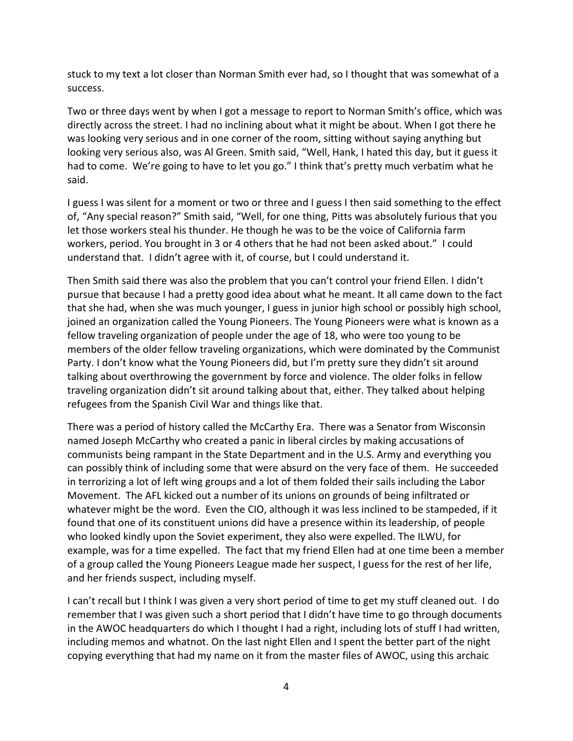stuck to my text a lot closer than Norman Smith ever had, so I thought that was somewhat of a success.

Two or three days went by when I got a message to report to Norman Smith's office, which was directly across the street. I had no inclining about what it might be about. When I got there he was looking very serious and in one corner of the room, sitting without saying anything but looking very serious also, was Al Green. Smith said, "Well, Hank, I hated this day, but it guess it had to come. We're going to have to let you go." I think that's pretty much verbatim what he said.

I guess I was silent for a moment or two or three and I guess I then said something to the effect of, "Any special reason?" Smith said, "Well, for one thing, Pitts was absolutely furious that you let those workers steal his thunder. He though he was to be the voice of California farm workers, period. You brought in 3 or 4 others that he had not been asked about." I could understand that. I didn't agree with it, of course, but I could understand it.

Then Smith said there was also the problem that you can't control your friend Ellen. I didn't pursue that because I had a pretty good idea about what he meant. It all came down to the fact that she had, when she was much younger, I guess in junior high school or possibly high school, joined an organization called the Young Pioneers. The Young Pioneers were what is known as a fellow traveling organization of people under the age of 18, who were too young to be members of the older fellow traveling organizations, which were dominated by the Communist Party. I don't know what the Young Pioneers did, but I'm pretty sure they didn't sit around talking about overthrowing the government by force and violence. The older folks in fellow traveling organization didn't sit around talking about that, either. They talked about helping refugees from the Spanish Civil War and things like that.

There was a period of history called the McCarthy Era. There was a Senator from Wisconsin named Joseph McCarthy who created a panic in liberal circles by making accusations of communists being rampant in the State Department and in the U.S. Army and everything you can possibly think of including some that were absurd on the very face of them. He succeeded in terrorizing a lot of left wing groups and a lot of them folded their sails including the Labor Movement. The AFL kicked out a number of its unions on grounds of being infiltrated or whatever might be the word. Even the CIO, although it was less inclined to be stampeded, if it found that one of its constituent unions did have a presence within its leadership, of people who looked kindly upon the Soviet experiment, they also were expelled. The ILWU, for example, was for a time expelled. The fact that my friend Ellen had at one time been a member of a group called the Young Pioneers League made her suspect, I guess for the rest of her life, and her friends suspect, including myself.

I can't recall but I think I was given a very short period of time to get my stuff cleaned out. I do remember that I was given such a short period that I didn't have time to go through documents in the AWOC headquarters do which I thought I had a right, including lots of stuff I had written, including memos and whatnot. On the last night Ellen and I spent the better part of the night copying everything that had my name on it from the master files of AWOC, using this archaic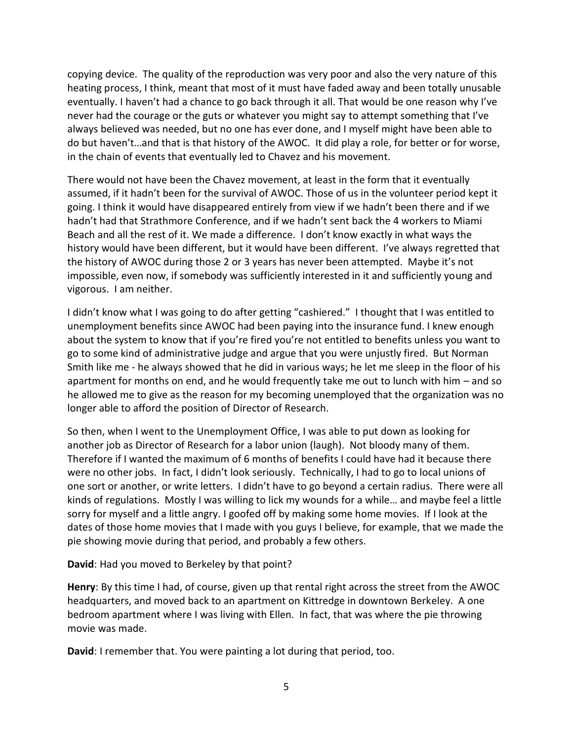copying device. The quality of the reproduction was very poor and also the very nature of this heating process, I think, meant that most of it must have faded away and been totally unusable eventually. I haven't had a chance to go back through it all. That would be one reason why I've never had the courage or the guts or whatever you might say to attempt something that I've always believed was needed, but no one has ever done, and I myself might have been able to do but haven't…and that is that history of the AWOC. It did play a role, for better or for worse, in the chain of events that eventually led to Chavez and his movement.

There would not have been the Chavez movement, at least in the form that it eventually assumed, if it hadn't been for the survival of AWOC. Those of us in the volunteer period kept it going. I think it would have disappeared entirely from view if we hadn't been there and if we hadn't had that Strathmore Conference, and if we hadn't sent back the 4 workers to Miami Beach and all the rest of it. We made a difference. I don't know exactly in what ways the history would have been different, but it would have been different. I've always regretted that the history of AWOC during those 2 or 3 years has never been attempted. Maybe it's not impossible, even now, if somebody was sufficiently interested in it and sufficiently young and vigorous. I am neither.

I didn't know what I was going to do after getting "cashiered." I thought that I was entitled to unemployment benefits since AWOC had been paying into the insurance fund. I knew enough about the system to know that if you're fired you're not entitled to benefits unless you want to go to some kind of administrative judge and argue that you were unjustly fired. But Norman Smith like me - he always showed that he did in various ways; he let me sleep in the floor of his apartment for months on end, and he would frequently take me out to lunch with him – and so he allowed me to give as the reason for my becoming unemployed that the organization was no longer able to afford the position of Director of Research.

So then, when I went to the Unemployment Office, I was able to put down as looking for another job as Director of Research for a labor union (laugh). Not bloody many of them. Therefore if I wanted the maximum of 6 months of benefits I could have had it because there were no other jobs. In fact, I didn't look seriously. Technically, I had to go to local unions of one sort or another, or write letters. I didn't have to go beyond a certain radius. There were all kinds of regulations. Mostly I was willing to lick my wounds for a while… and maybe feel a little sorry for myself and a little angry. I goofed off by making some home movies. If I look at the dates of those home movies that I made with you guys I believe, for example, that we made the pie showing movie during that period, and probably a few others.

**David**: Had you moved to Berkeley by that point?

**Henry**: By this time I had, of course, given up that rental right across the street from the AWOC headquarters, and moved back to an apartment on Kittredge in downtown Berkeley. A one bedroom apartment where I was living with Ellen. In fact, that was where the pie throwing movie was made.

**David**: I remember that. You were painting a lot during that period, too.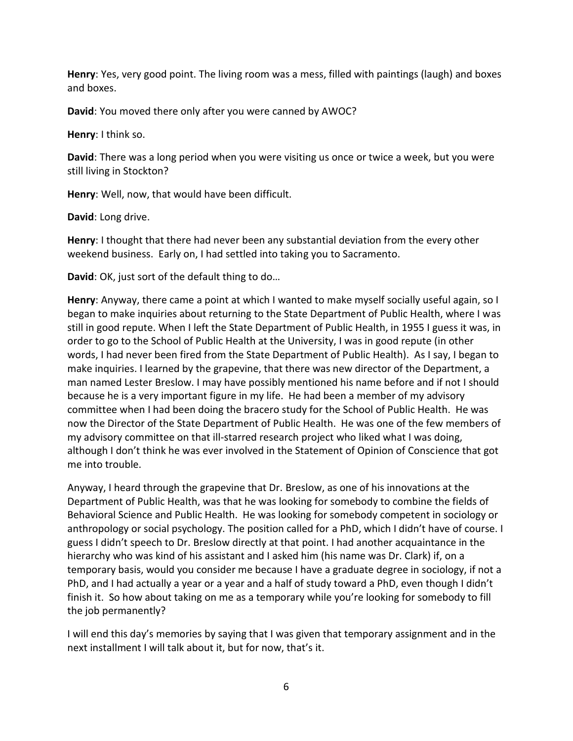**Henry**: Yes, very good point. The living room was a mess, filled with paintings (laugh) and boxes and boxes.

**David**: You moved there only after you were canned by AWOC?

**Henry**: I think so.

**David**: There was a long period when you were visiting us once or twice a week, but you were still living in Stockton?

**Henry**: Well, now, that would have been difficult.

**David**: Long drive.

**Henry**: I thought that there had never been any substantial deviation from the every other weekend business. Early on, I had settled into taking you to Sacramento.

**David**: OK, just sort of the default thing to do…

**Henry**: Anyway, there came a point at which I wanted to make myself socially useful again, so I began to make inquiries about returning to the State Department of Public Health, where I was still in good repute. When I left the State Department of Public Health, in 1955 I guess it was, in order to go to the School of Public Health at the University, I was in good repute (in other words, I had never been fired from the State Department of Public Health). As I say, I began to make inquiries. I learned by the grapevine, that there was new director of the Department, a man named Lester Breslow. I may have possibly mentioned his name before and if not I should because he is a very important figure in my life. He had been a member of my advisory committee when I had been doing the bracero study for the School of Public Health. He was now the Director of the State Department of Public Health. He was one of the few members of my advisory committee on that ill-starred research project who liked what I was doing, although I don't think he was ever involved in the Statement of Opinion of Conscience that got me into trouble.

Anyway, I heard through the grapevine that Dr. Breslow, as one of his innovations at the Department of Public Health, was that he was looking for somebody to combine the fields of Behavioral Science and Public Health. He was looking for somebody competent in sociology or anthropology or social psychology. The position called for a PhD, which I didn't have of course. I guess I didn't speech to Dr. Breslow directly at that point. I had another acquaintance in the hierarchy who was kind of his assistant and I asked him (his name was Dr. Clark) if, on a temporary basis, would you consider me because I have a graduate degree in sociology, if not a PhD, and I had actually a year or a year and a half of study toward a PhD, even though I didn't finish it. So how about taking on me as a temporary while you're looking for somebody to fill the job permanently?

I will end this day's memories by saying that I was given that temporary assignment and in the next installment I will talk about it, but for now, that's it.